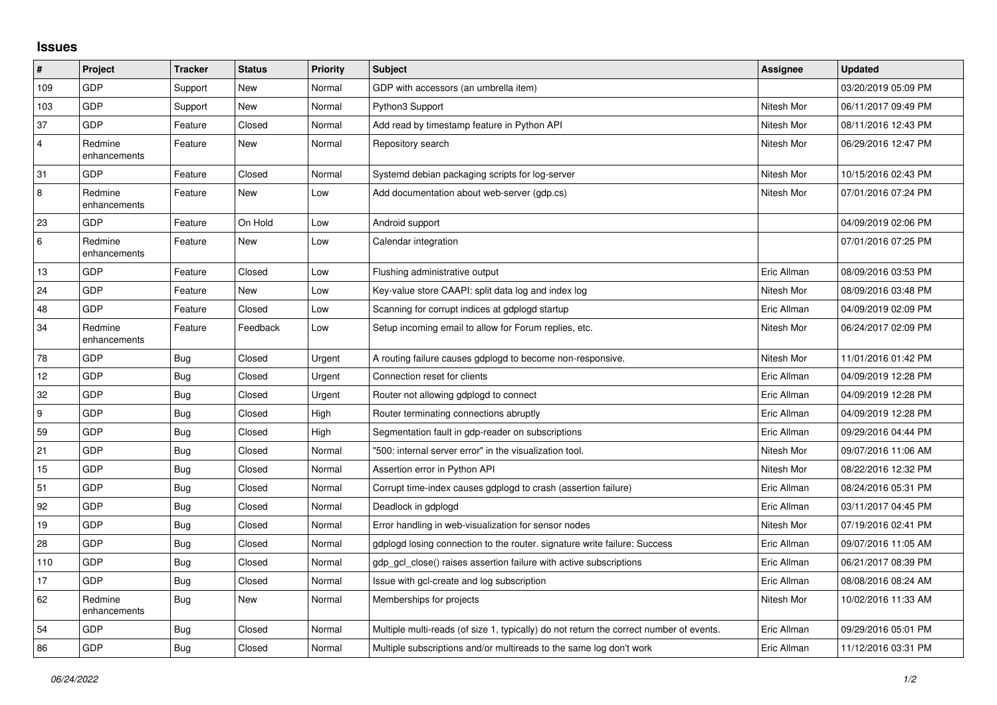## **Issues**

| $\vert$ #      | Project                 | <b>Tracker</b> | <b>Status</b> | Priority | <b>Subject</b>                                                                          | <b>Assignee</b> | <b>Updated</b>      |
|----------------|-------------------------|----------------|---------------|----------|-----------------------------------------------------------------------------------------|-----------------|---------------------|
| 109            | GDP                     | Support        | New           | Normal   | GDP with accessors (an umbrella item)                                                   |                 | 03/20/2019 05:09 PM |
| 103            | GDP                     | Support        | New           | Normal   | Python3 Support                                                                         | Nitesh Mor      | 06/11/2017 09:49 PM |
| 37             | GDP                     | Feature        | Closed        | Normal   | Add read by timestamp feature in Python API                                             | Nitesh Mor      | 08/11/2016 12:43 PM |
| $\overline{4}$ | Redmine<br>enhancements | Feature        | New           | Normal   | Repository search                                                                       | Nitesh Mor      | 06/29/2016 12:47 PM |
| 31             | GDP                     | Feature        | Closed        | Normal   | Systemd debian packaging scripts for log-server                                         | Nitesh Mor      | 10/15/2016 02:43 PM |
| 8              | Redmine<br>enhancements | Feature        | New           | Low      | Add documentation about web-server (gdp.cs)                                             | Nitesh Mor      | 07/01/2016 07:24 PM |
| 23             | GDP                     | Feature        | On Hold       | Low      | Android support                                                                         |                 | 04/09/2019 02:06 PM |
| 6              | Redmine<br>enhancements | Feature        | <b>New</b>    | Low      | Calendar integration                                                                    |                 | 07/01/2016 07:25 PM |
| 13             | GDP                     | Feature        | Closed        | Low      | Flushing administrative output                                                          | Eric Allman     | 08/09/2016 03:53 PM |
| 24             | GDP                     | Feature        | New           | Low      | Key-value store CAAPI: split data log and index log                                     | Nitesh Mor      | 08/09/2016 03:48 PM |
| 48             | GDP                     | Feature        | Closed        | Low      | Scanning for corrupt indices at gdplogd startup                                         | Eric Allman     | 04/09/2019 02:09 PM |
| 34             | Redmine<br>enhancements | Feature        | Feedback      | Low      | Setup incoming email to allow for Forum replies, etc.                                   | Nitesh Mor      | 06/24/2017 02:09 PM |
| 78             | GDP                     | <b>Bug</b>     | Closed        | Urgent   | A routing failure causes gdplogd to become non-responsive.                              | Nitesh Mor      | 11/01/2016 01:42 PM |
| 12             | GDP                     | <b>Bug</b>     | Closed        | Urgent   | Connection reset for clients                                                            | Eric Allman     | 04/09/2019 12:28 PM |
| 32             | GDP                     | <b>Bug</b>     | Closed        | Urgent   | Router not allowing gdplogd to connect                                                  | Eric Allman     | 04/09/2019 12:28 PM |
| 9              | GDP                     | Bug            | Closed        | High     | Router terminating connections abruptly                                                 | Eric Allman     | 04/09/2019 12:28 PM |
| 59             | GDP                     | <b>Bug</b>     | Closed        | High     | Segmentation fault in gdp-reader on subscriptions                                       | Eric Allman     | 09/29/2016 04:44 PM |
| 21             | GDP                     | <b>Bug</b>     | Closed        | Normal   | '500: internal server error" in the visualization tool.                                 | Nitesh Mor      | 09/07/2016 11:06 AM |
| 15             | GDP                     | <b>Bug</b>     | Closed        | Normal   | Assertion error in Python API                                                           | Nitesh Mor      | 08/22/2016 12:32 PM |
| 51             | GDP                     | <b>Bug</b>     | Closed        | Normal   | Corrupt time-index causes gdplogd to crash (assertion failure)                          | Eric Allman     | 08/24/2016 05:31 PM |
| 92             | GDP                     | <b>Bug</b>     | Closed        | Normal   | Deadlock in gdplogd                                                                     | Eric Allman     | 03/11/2017 04:45 PM |
| 19             | GDP                     | Bug            | Closed        | Normal   | Error handling in web-visualization for sensor nodes                                    | Nitesh Mor      | 07/19/2016 02:41 PM |
| 28             | GDP                     | <b>Bug</b>     | Closed        | Normal   | gdplogd losing connection to the router, signature write failure: Success               | Eric Allman     | 09/07/2016 11:05 AM |
| 110            | GDP                     | Bug            | Closed        | Normal   | gdp_gcl_close() raises assertion failure with active subscriptions                      | Eric Allman     | 06/21/2017 08:39 PM |
| 17             | GDP                     | Bug            | Closed        | Normal   | Issue with gcl-create and log subscription                                              | Eric Allman     | 08/08/2016 08:24 AM |
| 62             | Redmine<br>enhancements | Bug            | New           | Normal   | Memberships for projects                                                                | Nitesh Mor      | 10/02/2016 11:33 AM |
| 54             | GDP                     | Bug            | Closed        | Normal   | Multiple multi-reads (of size 1, typically) do not return the correct number of events. | Eric Allman     | 09/29/2016 05:01 PM |
| 86             | GDP                     | <b>Bug</b>     | Closed        | Normal   | Multiple subscriptions and/or multireads to the same log don't work                     | Eric Allman     | 11/12/2016 03:31 PM |